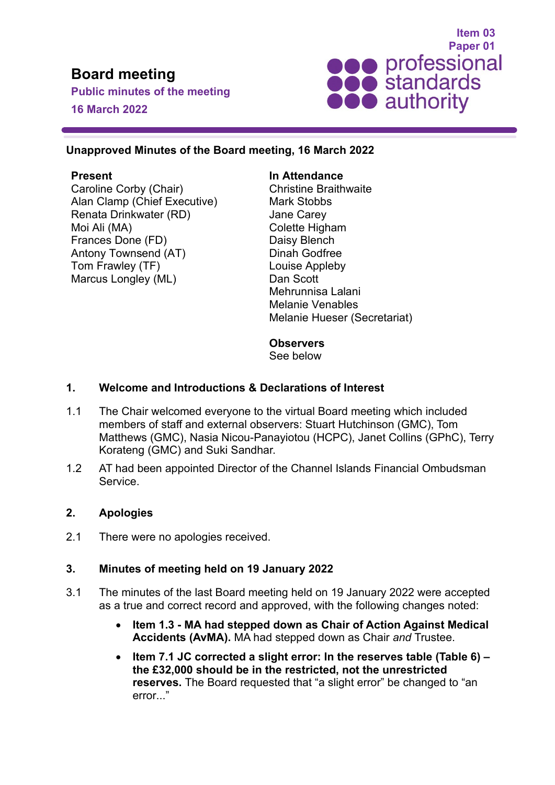# **Board meeting**

**Public minutes of the meeting 16 March 2022**



### **Unapproved Minutes of the Board meeting, 16 March 2022**

# **Present**

Caroline Corby (Chair) Alan Clamp (Chief Executive) Renata Drinkwater (RD) Moi Ali (MA) Frances Done (FD) Antony Townsend (AT) Tom Frawley (TF) Marcus Longley (ML)

#### **In Attendance**

Christine Braithwaite Mark Stobbs Jane Carey Colette Higham Daisy Blench Dinah Godfree Louise Appleby Dan Scott Mehrunnisa Lalani Melanie Venables Melanie Hueser (Secretariat)

# **Observers**

See below

# **1. Welcome and Introductions & Declarations of Interest**

- 1.1 The Chair welcomed everyone to the virtual Board meeting which included members of staff and external observers: Stuart Hutchinson (GMC), Tom Matthews (GMC), Nasia Nicou-Panayiotou (HCPC), Janet Collins (GPhC), Terry Korateng (GMC) and Suki Sandhar.
- 1.2 AT had been appointed Director of the Channel Islands Financial Ombudsman Service.

#### **2. Apologies**

2.1 There were no apologies received.

# **3. Minutes of meeting held on 19 January 2022**

- 3.1 The minutes of the last Board meeting held on 19 January 2022 were accepted as a true and correct record and approved, with the following changes noted:
	- **Item 1.3 - MA had stepped down as Chair of Action Against Medical Accidents (AvMA).** MA had stepped down as Chair *and* Trustee.
	- **Item 7.1 JC corrected a slight error: In the reserves table (Table 6) – the £32,000 should be in the restricted, not the unrestricted reserves.** The Board requested that "a slight error" be changed to "an error..."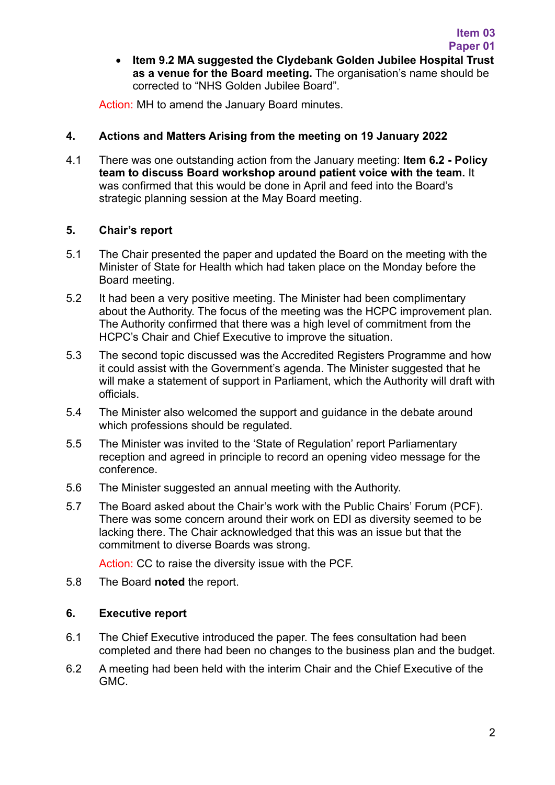• **Item 9.2 MA suggested the Clydebank Golden Jubilee Hospital Trust as a venue for the Board meeting.** The organisation's name should be corrected to "NHS Golden Jubilee Board".

Action: MH to amend the January Board minutes.

# **4. Actions and Matters Arising from the meeting on 19 January 2022**

4.1 There was one outstanding action from the January meeting: **Item 6.2 - Policy team to discuss Board workshop around patient voice with the team.** It was confirmed that this would be done in April and feed into the Board's strategic planning session at the May Board meeting.

#### **5. Chair's report**

- 5.1 The Chair presented the paper and updated the Board on the meeting with the Minister of State for Health which had taken place on the Monday before the Board meeting.
- 5.2 It had been a very positive meeting. The Minister had been complimentary about the Authority. The focus of the meeting was the HCPC improvement plan. The Authority confirmed that there was a high level of commitment from the HCPC's Chair and Chief Executive to improve the situation.
- 5.3 The second topic discussed was the Accredited Registers Programme and how it could assist with the Government's agenda. The Minister suggested that he will make a statement of support in Parliament, which the Authority will draft with officials.
- 5.4 The Minister also welcomed the support and guidance in the debate around which professions should be regulated.
- 5.5 The Minister was invited to the 'State of Regulation' report Parliamentary reception and agreed in principle to record an opening video message for the conference.
- 5.6 The Minister suggested an annual meeting with the Authority.
- 5.7 The Board asked about the Chair's work with the Public Chairs' Forum (PCF). There was some concern around their work on EDI as diversity seemed to be lacking there. The Chair acknowledged that this was an issue but that the commitment to diverse Boards was strong.

Action: CC to raise the diversity issue with the PCF.

5.8 The Board **noted** the report.

#### **6. Executive report**

- 6.1 The Chief Executive introduced the paper. The fees consultation had been completed and there had been no changes to the business plan and the budget.
- 6.2 A meeting had been held with the interim Chair and the Chief Executive of the GMC.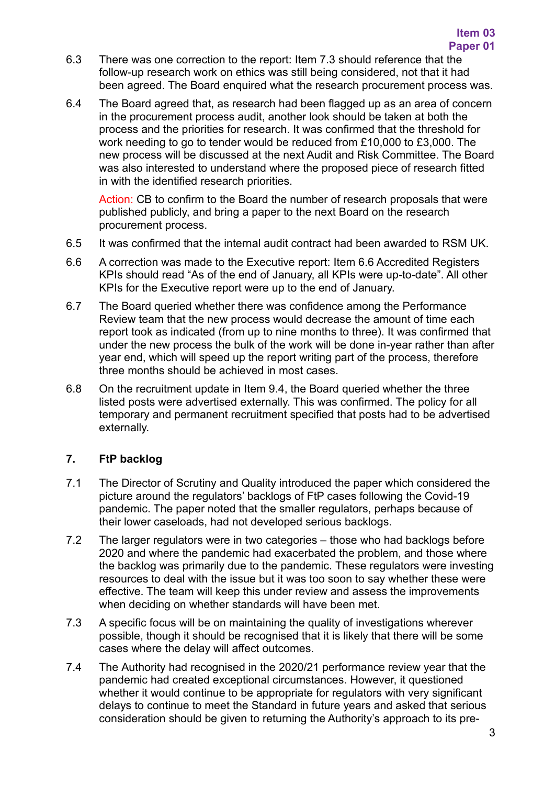- 6.3 There was one correction to the report: Item 7.3 should reference that the follow-up research work on ethics was still being considered, not that it had been agreed. The Board enquired what the research procurement process was.
- 6.4 The Board agreed that, as research had been flagged up as an area of concern in the procurement process audit, another look should be taken at both the process and the priorities for research. It was confirmed that the threshold for work needing to go to tender would be reduced from £10,000 to £3,000. The new process will be discussed at the next Audit and Risk Committee. The Board was also interested to understand where the proposed piece of research fitted in with the identified research priorities.

Action: CB to confirm to the Board the number of research proposals that were published publicly, and bring a paper to the next Board on the research procurement process.

- 6.5 It was confirmed that the internal audit contract had been awarded to RSM UK.
- 6.6 A correction was made to the Executive report: Item 6.6 Accredited Registers KPIs should read "As of the end of January, all KPIs were up-to-date". All other KPIs for the Executive report were up to the end of January.
- 6.7 The Board queried whether there was confidence among the Performance Review team that the new process would decrease the amount of time each report took as indicated (from up to nine months to three). It was confirmed that under the new process the bulk of the work will be done in-year rather than after year end, which will speed up the report writing part of the process, therefore three months should be achieved in most cases.
- 6.8 On the recruitment update in Item 9.4, the Board queried whether the three listed posts were advertised externally. This was confirmed. The policy for all temporary and permanent recruitment specified that posts had to be advertised externally.

# **7. FtP backlog**

- 7.1 The Director of Scrutiny and Quality introduced the paper which considered the picture around the regulators' backlogs of FtP cases following the Covid-19 pandemic. The paper noted that the smaller regulators, perhaps because of their lower caseloads, had not developed serious backlogs.
- 7.2 The larger regulators were in two categories those who had backlogs before 2020 and where the pandemic had exacerbated the problem, and those where the backlog was primarily due to the pandemic. These regulators were investing resources to deal with the issue but it was too soon to say whether these were effective. The team will keep this under review and assess the improvements when deciding on whether standards will have been met.
- 7.3 A specific focus will be on maintaining the quality of investigations wherever possible, though it should be recognised that it is likely that there will be some cases where the delay will affect outcomes.
- 7.4 The Authority had recognised in the 2020/21 performance review year that the pandemic had created exceptional circumstances. However, it questioned whether it would continue to be appropriate for regulators with very significant delays to continue to meet the Standard in future years and asked that serious consideration should be given to returning the Authority's approach to its pre-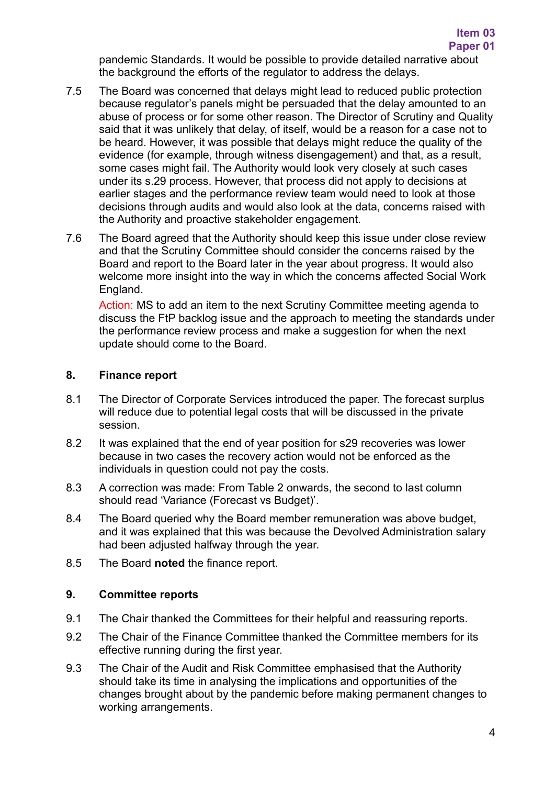pandemic Standards. It would be possible to provide detailed narrative about the background the efforts of the regulator to address the delays.

- 7.5 The Board was concerned that delays might lead to reduced public protection because regulator's panels might be persuaded that the delay amounted to an abuse of process or for some other reason. The Director of Scrutiny and Quality said that it was unlikely that delay, of itself, would be a reason for a case not to be heard. However, it was possible that delays might reduce the quality of the evidence (for example, through witness disengagement) and that, as a result, some cases might fail. The Authority would look very closely at such cases under its s.29 process. However, that process did not apply to decisions at earlier stages and the performance review team would need to look at those decisions through audits and would also look at the data, concerns raised with the Authority and proactive stakeholder engagement.
- 7.6 The Board agreed that the Authority should keep this issue under close review and that the Scrutiny Committee should consider the concerns raised by the Board and report to the Board later in the year about progress. It would also welcome more insight into the way in which the concerns affected Social Work England.

Action: MS to add an item to the next Scrutiny Committee meeting agenda to discuss the FtP backlog issue and the approach to meeting the standards under the performance review process and make a suggestion for when the next update should come to the Board.

#### **8. Finance report**

- 8.1 The Director of Corporate Services introduced the paper. The forecast surplus will reduce due to potential legal costs that will be discussed in the private session.
- 8.2 It was explained that the end of year position for s29 recoveries was lower because in two cases the recovery action would not be enforced as the individuals in question could not pay the costs.
- 8.3 A correction was made: From Table 2 onwards, the second to last column should read 'Variance (Forecast vs Budget)'.
- 8.4 The Board queried why the Board member remuneration was above budget, and it was explained that this was because the Devolved Administration salary had been adjusted halfway through the year.
- 8.5 The Board **noted** the finance report.

#### **9. Committee reports**

- 9.1 The Chair thanked the Committees for their helpful and reassuring reports.
- 9.2 The Chair of the Finance Committee thanked the Committee members for its effective running during the first year.
- 9.3 The Chair of the Audit and Risk Committee emphasised that the Authority should take its time in analysing the implications and opportunities of the changes brought about by the pandemic before making permanent changes to working arrangements.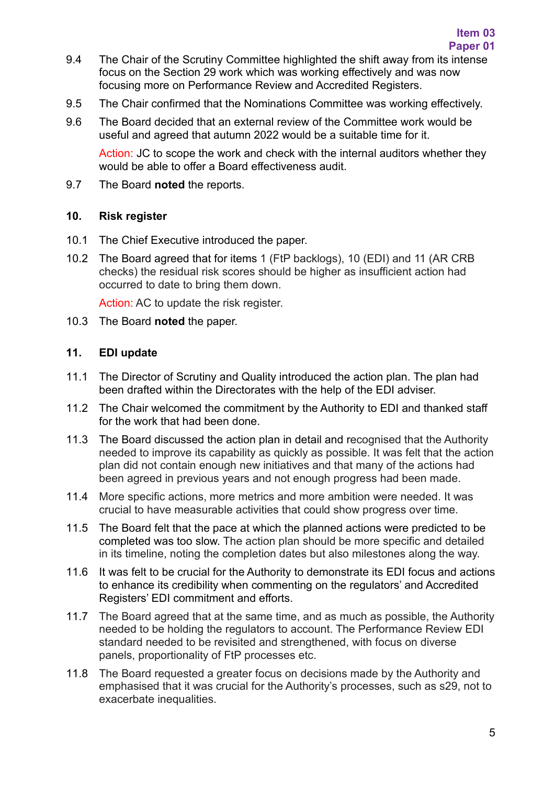- 9.4 The Chair of the Scrutiny Committee highlighted the shift away from its intense focus on the Section 29 work which was working effectively and was now focusing more on Performance Review and Accredited Registers.
- 9.5 The Chair confirmed that the Nominations Committee was working effectively.
- 9.6 The Board decided that an external review of the Committee work would be useful and agreed that autumn 2022 would be a suitable time for it.

Action: JC to scope the work and check with the internal auditors whether they would be able to offer a Board effectiveness audit.

9.7 The Board **noted** the reports.

# **10. Risk register**

- 10.1 The Chief Executive introduced the paper.
- 10.2 The Board agreed that for items 1 (FtP backlogs), 10 (EDI) and 11 (AR CRB checks) the residual risk scores should be higher as insufficient action had occurred to date to bring them down.

Action: AC to update the risk register.

10.3 The Board **noted** the paper.

# **11. EDI update**

- 11.1 The Director of Scrutiny and Quality introduced the action plan. The plan had been drafted within the Directorates with the help of the EDI adviser.
- 11.2 The Chair welcomed the commitment by the Authority to EDI and thanked staff for the work that had been done.
- 11.3 The Board discussed the action plan in detail and recognised that the Authority needed to improve its capability as quickly as possible. It was felt that the action plan did not contain enough new initiatives and that many of the actions had been agreed in previous years and not enough progress had been made.
- 11.4 More specific actions, more metrics and more ambition were needed. It was crucial to have measurable activities that could show progress over time.
- 11.5 The Board felt that the pace at which the planned actions were predicted to be completed was too slow. The action plan should be more specific and detailed in its timeline, noting the completion dates but also milestones along the way.
- 11.6 It was felt to be crucial for the Authority to demonstrate its EDI focus and actions to enhance its credibility when commenting on the regulators' and Accredited Registers' EDI commitment and efforts.
- 11.7 The Board agreed that at the same time, and as much as possible, the Authority needed to be holding the regulators to account. The Performance Review EDI standard needed to be revisited and strengthened, with focus on diverse panels, proportionality of FtP processes etc.
- 11.8 The Board requested a greater focus on decisions made by the Authority and emphasised that it was crucial for the Authority's processes, such as s29, not to exacerbate inequalities.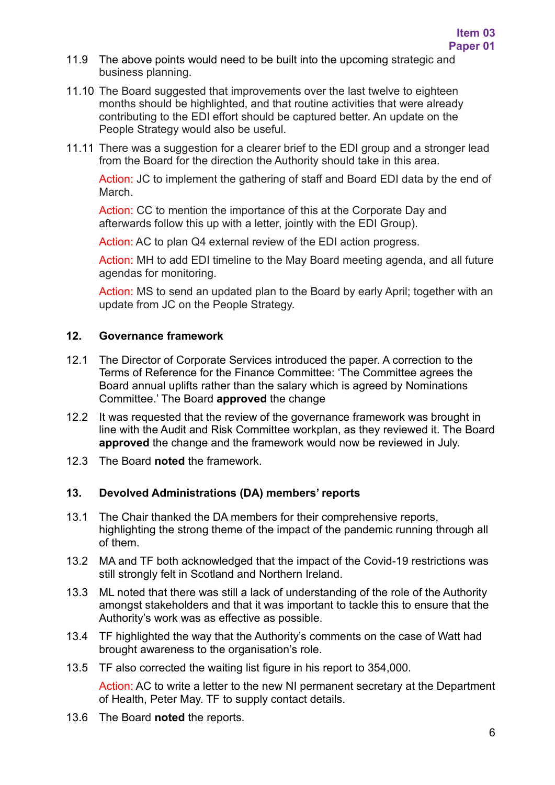- 11.9 The above points would need to be built into the upcoming strategic and business planning.
- 11.10 The Board suggested that improvements over the last twelve to eighteen months should be highlighted, and that routine activities that were already contributing to the EDI effort should be captured better. An update on the People Strategy would also be useful.
- 11.11 There was a suggestion for a clearer brief to the EDI group and a stronger lead from the Board for the direction the Authority should take in this area.

Action: JC to implement the gathering of staff and Board EDI data by the end of March.

Action: CC to mention the importance of this at the Corporate Day and afterwards follow this up with a letter, jointly with the EDI Group).

Action: AC to plan Q4 external review of the EDI action progress.

Action: MH to add EDI timeline to the May Board meeting agenda, and all future agendas for monitoring.

Action: MS to send an updated plan to the Board by early April; together with an update from JC on the People Strategy.

#### **12. Governance framework**

- 12.1 The Director of Corporate Services introduced the paper. A correction to the Terms of Reference for the Finance Committee: 'The Committee agrees the Board annual uplifts rather than the salary which is agreed by Nominations Committee.' The Board **approved** the change
- 12.2 It was requested that the review of the governance framework was brought in line with the Audit and Risk Committee workplan, as they reviewed it. The Board **approved** the change and the framework would now be reviewed in July.
- 12.3 The Board **noted** the framework.

#### **13. Devolved Administrations (DA) members' reports**

- 13.1 The Chair thanked the DA members for their comprehensive reports, highlighting the strong theme of the impact of the pandemic running through all of them.
- 13.2 MA and TF both acknowledged that the impact of the Covid-19 restrictions was still strongly felt in Scotland and Northern Ireland.
- 13.3 ML noted that there was still a lack of understanding of the role of the Authority amongst stakeholders and that it was important to tackle this to ensure that the Authority's work was as effective as possible.
- 13.4 TF highlighted the way that the Authority's comments on the case of Watt had brought awareness to the organisation's role.
- 13.5 TF also corrected the waiting list figure in his report to 354,000.

Action: AC to write a letter to the new NI permanent secretary at the Department of Health, Peter May. TF to supply contact details.

13.6 The Board **noted** the reports.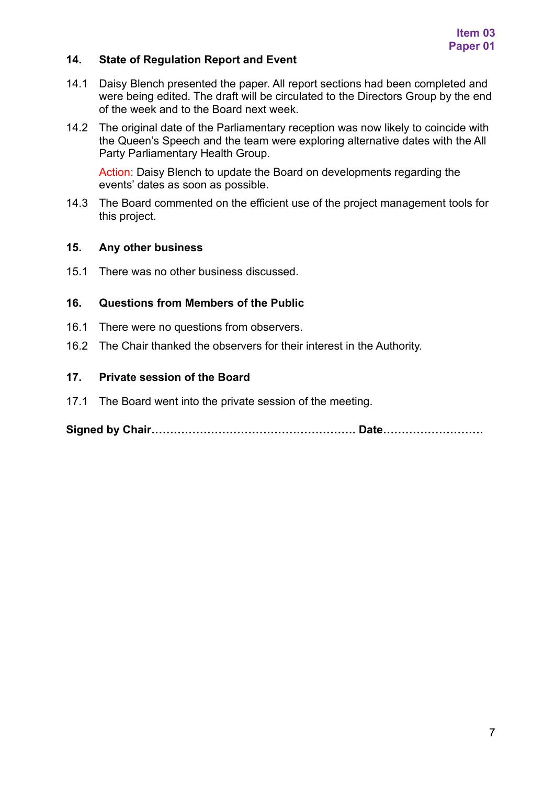# **14. State of Regulation Report and Event**

- 14.1 Daisy Blench presented the paper. All report sections had been completed and were being edited. The draft will be circulated to the Directors Group by the end of the week and to the Board next week.
- 14.2 The original date of the Parliamentary reception was now likely to coincide with the Queen's Speech and the team were exploring alternative dates with the All Party Parliamentary Health Group.

Action: Daisy Blench to update the Board on developments regarding the events' dates as soon as possible.

14.3 The Board commented on the efficient use of the project management tools for this project.

#### **15. Any other business**

15.1 There was no other business discussed.

#### **16. Questions from Members of the Public**

- 16.1 There were no questions from observers.
- 16.2 The Chair thanked the observers for their interest in the Authority.

#### **17. Private session of the Board**

17.1 The Board went into the private session of the meeting.

**Signed by Chair………………………………………………. Date………………………**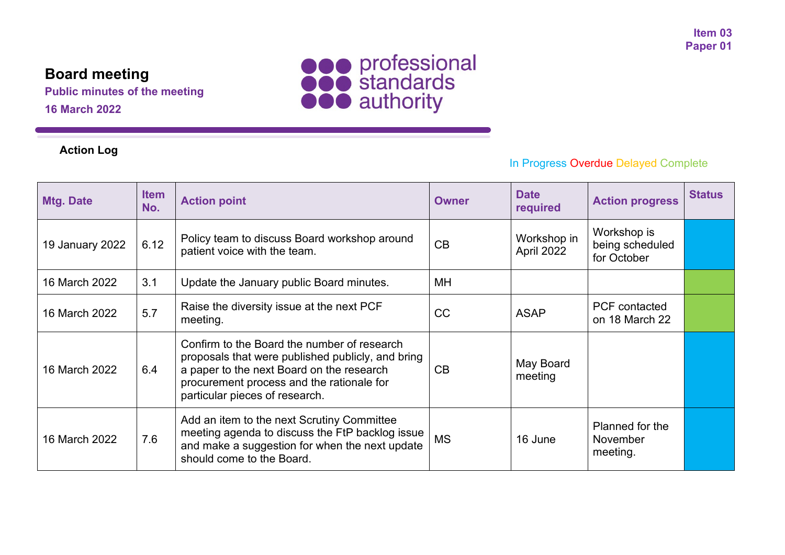# **Board meeting**

**Public minutes of the meeting 16 March 2022**





# In Progress Overdue Delayed Complete

| Mtg. Date       | <b>Item</b><br>No. | <b>Action point</b>                                                                                                                                                                                                          | <b>Owner</b> | <b>Date</b><br>required   | <b>Action progress</b>                        | <b>Status</b> |
|-----------------|--------------------|------------------------------------------------------------------------------------------------------------------------------------------------------------------------------------------------------------------------------|--------------|---------------------------|-----------------------------------------------|---------------|
| 19 January 2022 | 6.12               | Policy team to discuss Board workshop around<br>patient voice with the team.                                                                                                                                                 | CB           | Workshop in<br>April 2022 | Workshop is<br>being scheduled<br>for October |               |
| 16 March 2022   | 3.1                | Update the January public Board minutes.                                                                                                                                                                                     | MH           |                           |                                               |               |
| 16 March 2022   | 5.7                | Raise the diversity issue at the next PCF<br>meeting.                                                                                                                                                                        | CC           | <b>ASAP</b>               | <b>PCF</b> contacted<br>on 18 March 22        |               |
| 16 March 2022   | 6.4                | Confirm to the Board the number of research<br>proposals that were published publicly, and bring<br>a paper to the next Board on the research<br>procurement process and the rationale for<br>particular pieces of research. | CB           | May Board<br>meeting      |                                               |               |
| 16 March 2022   | 7.6                | Add an item to the next Scrutiny Committee<br>meeting agenda to discuss the FtP backlog issue<br>and make a suggestion for when the next update<br>should come to the Board.                                                 | <b>MS</b>    | 16 June                   | Planned for the<br>November<br>meeting.       |               |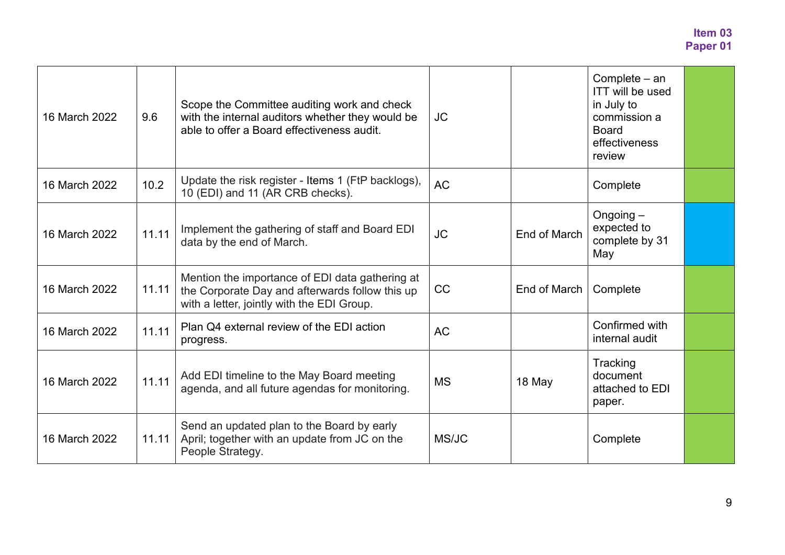| 16 March 2022 | 9.6   | Scope the Committee auditing work and check<br>with the internal auditors whether they would be<br>able to offer a Board effectiveness audit.    | JC        |              | Complete – an<br><b>ITT will be used</b><br>in July to<br>commission a<br><b>Board</b><br>effectiveness<br>review |  |
|---------------|-------|--------------------------------------------------------------------------------------------------------------------------------------------------|-----------|--------------|-------------------------------------------------------------------------------------------------------------------|--|
| 16 March 2022 | 10.2  | Update the risk register - Items 1 (FtP backlogs),<br>10 (EDI) and 11 (AR CRB checks).                                                           | <b>AC</b> |              | Complete                                                                                                          |  |
| 16 March 2022 | 11.11 | Implement the gathering of staff and Board EDI<br>data by the end of March.                                                                      | <b>JC</b> | End of March | Ongoing $-$<br>expected to<br>complete by 31<br>May                                                               |  |
| 16 March 2022 | 11.11 | Mention the importance of EDI data gathering at<br>the Corporate Day and afterwards follow this up<br>with a letter, jointly with the EDI Group. | <b>CC</b> | End of March | Complete                                                                                                          |  |
| 16 March 2022 | 11.11 | Plan Q4 external review of the EDI action<br>progress.                                                                                           | <b>AC</b> |              | Confirmed with<br>internal audit                                                                                  |  |
| 16 March 2022 | 11.11 | Add EDI timeline to the May Board meeting<br>agenda, and all future agendas for monitoring.                                                      | <b>MS</b> | 18 May       | Tracking<br>document<br>attached to EDI<br>paper.                                                                 |  |
| 16 March 2022 | 11.11 | Send an updated plan to the Board by early<br>April; together with an update from JC on the<br>People Strategy.                                  | MS/JC     |              | Complete                                                                                                          |  |